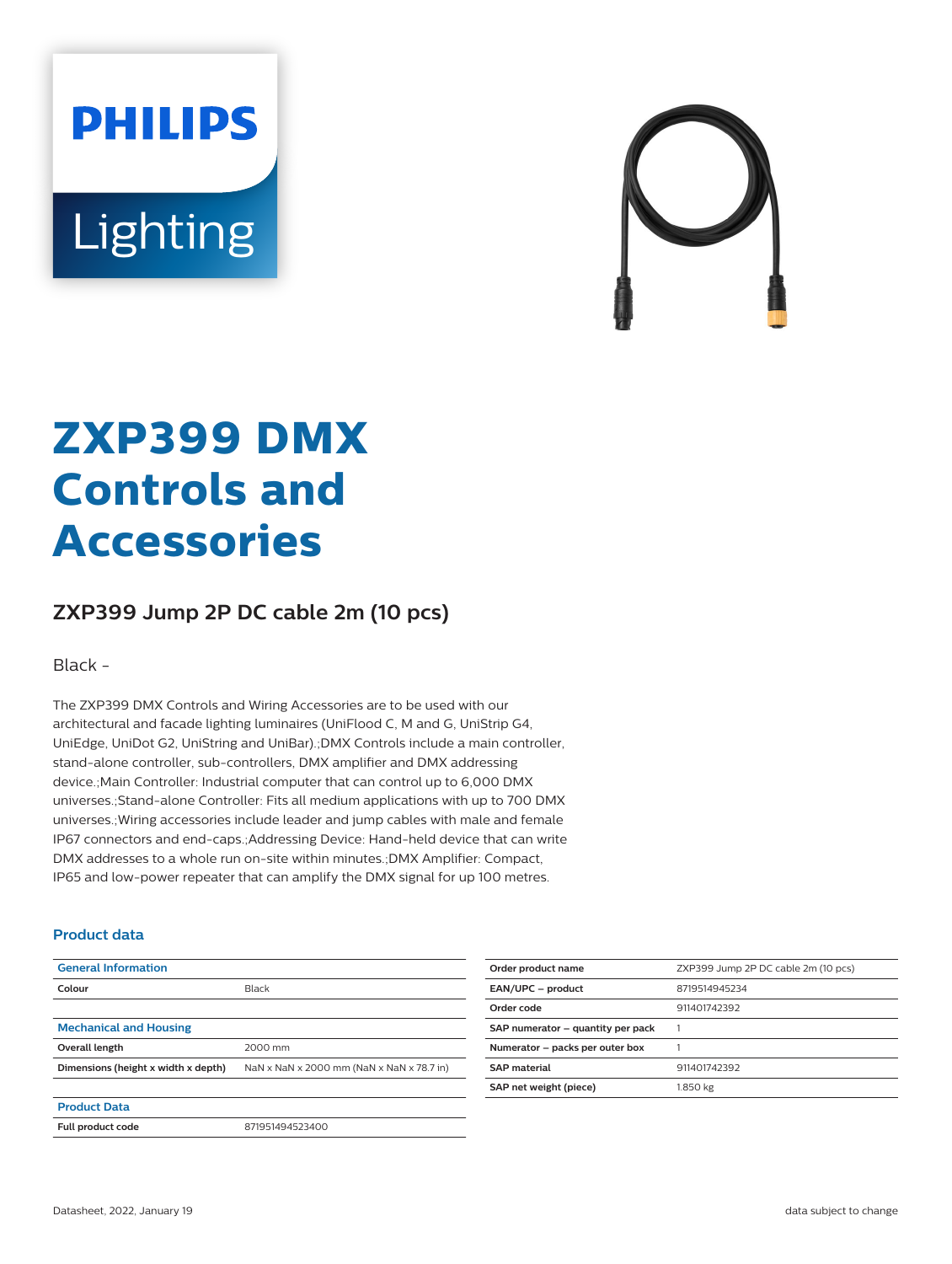# **PHILIPS** Lighting



## **ZXP399 DMX Controls and Accessories**

### **ZXP399 Jump 2P DC cable 2m (10 pcs)**

Black -

The ZXP399 DMX Controls and Wiring Accessories are to be used with our architectural and facade lighting luminaires (UniFlood C, M and G, UniStrip G4, UniEdge, UniDot G2, UniString and UniBar).;DMX Controls include a main controller, stand-alone controller, sub-controllers, DMX amplifier and DMX addressing device.;Main Controller: Industrial computer that can control up to 6,000 DMX universes.;Stand-alone Controller: Fits all medium applications with up to 700 DMX universes.;Wiring accessories include leader and jump cables with male and female IP67 connectors and end-caps.;Addressing Device: Hand-held device that can write DMX addresses to a whole run on-site within minutes.;DMX Amplifier: Compact, IP65 and low-power repeater that can amplify the DMX signal for up 100 metres.

#### **Product data**

| <b>General Information</b>          |                                           |
|-------------------------------------|-------------------------------------------|
| Colour                              | Black                                     |
|                                     |                                           |
| <b>Mechanical and Housing</b>       |                                           |
| Overall length                      | 2000 mm                                   |
| Dimensions (height x width x depth) | NaN x NaN x 2000 mm (NaN x NaN x 78.7 in) |
|                                     |                                           |
| <b>Product Data</b>                 |                                           |
| Full product code                   | 871951494523400                           |

| Order product name                | ZXP399 Jump 2P DC cable 2m (10 pcs) |
|-----------------------------------|-------------------------------------|
| EAN/UPC - product                 | 8719514945234                       |
| Order code                        | 911401742392                        |
| SAP numerator - quantity per pack |                                     |
| Numerator - packs per outer box   |                                     |
| <b>SAP</b> material               | 911401742392                        |
| SAP net weight (piece)            | 1.850 kg                            |